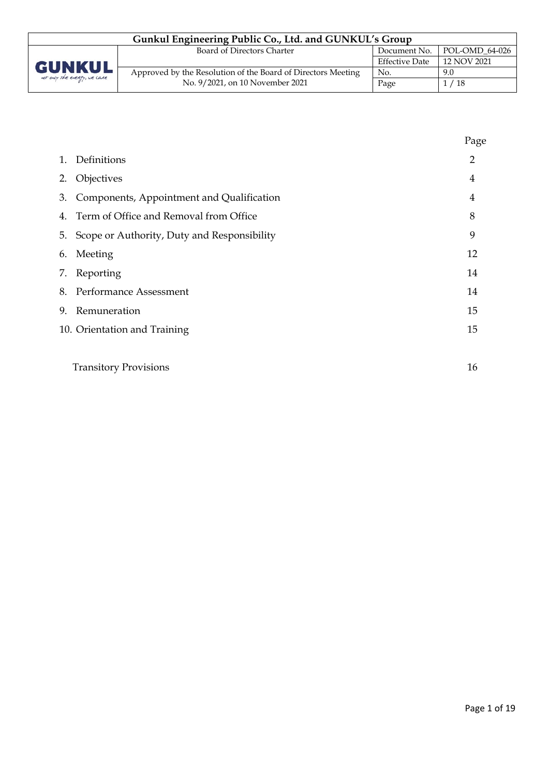| Gunkul Engineering Public Co., Ltd. and GUNKUL's Group |                                                              |                       |                             |  |
|--------------------------------------------------------|--------------------------------------------------------------|-----------------------|-----------------------------|--|
|                                                        | Board of Directors Charter                                   |                       | Document No. POL-OMD 64-026 |  |
| <b>GUNKUL</b><br>not only the energy, we care          |                                                              | <b>Effective Date</b> | 12 NOV 2021                 |  |
|                                                        | Approved by the Resolution of the Board of Directors Meeting | No.                   | 9.0                         |  |
|                                                        | No. 9/2021, on 10 November 2021                              | Page                  | 1/18                        |  |

|    |                                             | Page |
|----|---------------------------------------------|------|
| 1. | Definitions                                 | 2    |
| 2. | Objectives                                  | 4    |
| 3. | Components, Appointment and Qualification   | 4    |
| 4. | Term of Office and Removal from Office      | 8    |
| 5. | Scope or Authority, Duty and Responsibility | 9    |
| 6. | Meeting                                     | 12   |
|    | 7. Reporting                                | 14   |
| 8. | Performance Assessment                      | 14   |
| 9. | Remuneration                                | 15   |
|    | 10. Orientation and Training                | 15   |
|    |                                             |      |
|    | <b>Transitory Provisions</b>                | 16   |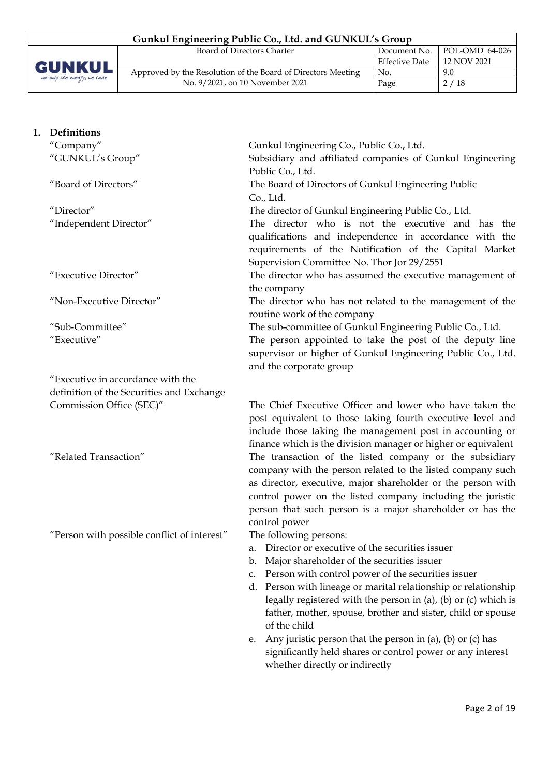| Gunkul Engineering Public Co., Ltd. and GUNKUL's Group |                                                              |                       |                |  |
|--------------------------------------------------------|--------------------------------------------------------------|-----------------------|----------------|--|
|                                                        | Board of Directors Charter                                   | Document No.          | POL-OMD 64-026 |  |
|                                                        |                                                              | <b>Effective Date</b> | 12 NOV 2021    |  |
| <b>GUNKUL</b><br>not only the energy, we care          | Approved by the Resolution of the Board of Directors Meeting | No.                   | 9.0            |  |
|                                                        | No. 9/2021, on 10 November 2021                              | Page                  | 2/18           |  |

| 1. | Definitions                                 |                                                                                                                                                                                                                                                                                                                                   |
|----|---------------------------------------------|-----------------------------------------------------------------------------------------------------------------------------------------------------------------------------------------------------------------------------------------------------------------------------------------------------------------------------------|
|    | "Company"                                   | Gunkul Engineering Co., Public Co., Ltd.                                                                                                                                                                                                                                                                                          |
|    | "GUNKUL's Group"                            | Subsidiary and affiliated companies of Gunkul Engineering<br>Public Co., Ltd.                                                                                                                                                                                                                                                     |
|    | "Board of Directors"                        | The Board of Directors of Gunkul Engineering Public<br>Co., Ltd.                                                                                                                                                                                                                                                                  |
|    | "Director"                                  | The director of Gunkul Engineering Public Co., Ltd.                                                                                                                                                                                                                                                                               |
|    | "Independent Director"                      | The director who is not the executive and has the<br>qualifications and independence in accordance with the<br>requirements of the Notification of the Capital Market<br>Supervision Committee No. Thor Jor 29/2551                                                                                                               |
|    | "Executive Director"                        | The director who has assumed the executive management of<br>the company                                                                                                                                                                                                                                                           |
|    | "Non-Executive Director"                    | The director who has not related to the management of the<br>routine work of the company                                                                                                                                                                                                                                          |
|    | "Sub-Committee"                             | The sub-committee of Gunkul Engineering Public Co., Ltd.                                                                                                                                                                                                                                                                          |
|    | "Executive"                                 | The person appointed to take the post of the deputy line<br>supervisor or higher of Gunkul Engineering Public Co., Ltd.<br>and the corporate group                                                                                                                                                                                |
|    | "Executive in accordance with the           |                                                                                                                                                                                                                                                                                                                                   |
|    | definition of the Securities and Exchange   |                                                                                                                                                                                                                                                                                                                                   |
|    | Commission Office (SEC)"                    | The Chief Executive Officer and lower who have taken the<br>post equivalent to those taking fourth executive level and<br>include those taking the management post in accounting or<br>finance which is the division manager or higher or equivalent                                                                              |
|    | "Related Transaction"                       | The transaction of the listed company or the subsidiary<br>company with the person related to the listed company such<br>as director, executive, major shareholder or the person with<br>control power on the listed company including the juristic<br>person that such person is a major shareholder or has the<br>control power |
|    | "Person with possible conflict of interest" | The following persons:<br>Director or executive of the securities issuer<br>a.<br>b. Major shareholder of the securities issuer<br>c. Person with control power of the securities issuer<br>. Danaan antik 11. maana ny mampiisa malaitanaken ny malaitanaken                                                                     |

- d. Person with lineage or marital relationship or relationship legally registered with the person in (a), (b) or (c) which is father, mother, spouse, brother and sister, child or spouse of the child
- e. Any juristic person that the person in (a), (b) or (c) has significantly held shares or control power or any interest whether directly or indirectly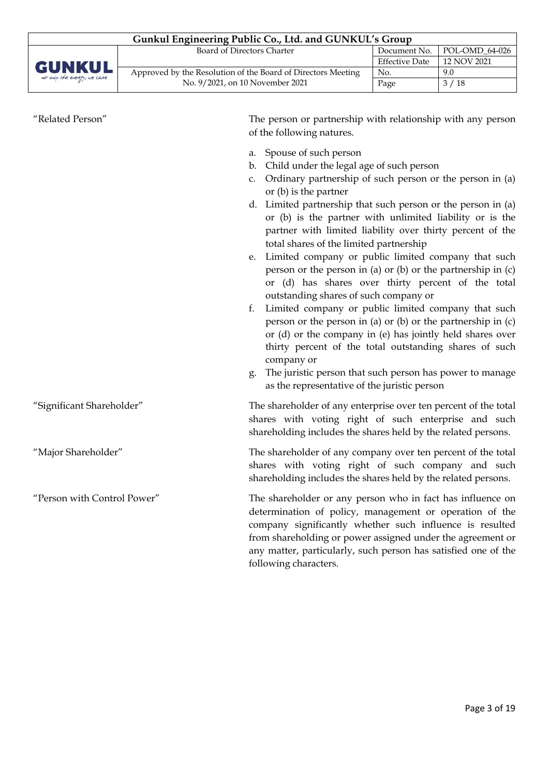| Gunkul Engineering Public Co., Ltd. and GUNKUL's Group |                                                              |                       |                              |  |
|--------------------------------------------------------|--------------------------------------------------------------|-----------------------|------------------------------|--|
|                                                        | Board of Directors Charter                                   | Document No.          | $\mid$ POL-OMD 64-026 $\mid$ |  |
|                                                        |                                                              | <b>Effective Date</b> | 12 NOV 2021                  |  |
| <b>GUNKUL</b><br>not only the every, we care           | Approved by the Resolution of the Board of Directors Meeting | No.                   | 9.0                          |  |
|                                                        | No. 9/2021, on 10 November 2021                              | Page                  | 3/18                         |  |

| "Related Person"            | The person or partnership with relationship with any person<br>of the following natures.                                                                                                                                                                                                                                                                                                                                                                                                                                                                                                                                                                                                                                                                                                                                                                                                                                                                                                                                 |
|-----------------------------|--------------------------------------------------------------------------------------------------------------------------------------------------------------------------------------------------------------------------------------------------------------------------------------------------------------------------------------------------------------------------------------------------------------------------------------------------------------------------------------------------------------------------------------------------------------------------------------------------------------------------------------------------------------------------------------------------------------------------------------------------------------------------------------------------------------------------------------------------------------------------------------------------------------------------------------------------------------------------------------------------------------------------|
|                             | a. Spouse of such person<br>b. Child under the legal age of such person<br>Ordinary partnership of such person or the person in (a)<br>c.<br>or $(b)$ is the partner<br>d. Limited partnership that such person or the person in (a)<br>or (b) is the partner with unlimited liability or is the<br>partner with limited liability over thirty percent of the<br>total shares of the limited partnership<br>Limited company or public limited company that such<br>e.<br>person or the person in (a) or (b) or the partnership in (c)<br>or (d) has shares over thirty percent of the total<br>outstanding shares of such company or<br>Limited company or public limited company that such<br>f.<br>person or the person in (a) or (b) or the partnership in (c)<br>or (d) or the company in (e) has jointly held shares over<br>thirty percent of the total outstanding shares of such<br>company or<br>The juristic person that such person has power to manage<br>g.<br>as the representative of the juristic person |
| "Significant Shareholder"   | The shareholder of any enterprise over ten percent of the total<br>shares with voting right of such enterprise and such<br>shareholding includes the shares held by the related persons.                                                                                                                                                                                                                                                                                                                                                                                                                                                                                                                                                                                                                                                                                                                                                                                                                                 |
| "Major Shareholder"         | The shareholder of any company over ten percent of the total<br>shares with voting right of such company and such<br>shareholding includes the shares held by the related persons.                                                                                                                                                                                                                                                                                                                                                                                                                                                                                                                                                                                                                                                                                                                                                                                                                                       |
| "Person with Control Power" | The shareholder or any person who in fact has influence on<br>determination of policy, management or operation of the<br>company significantly whether such influence is resulted<br>from shareholding or power assigned under the agreement or<br>any matter, particularly, such person has satisfied one of the<br>following characters.                                                                                                                                                                                                                                                                                                                                                                                                                                                                                                                                                                                                                                                                               |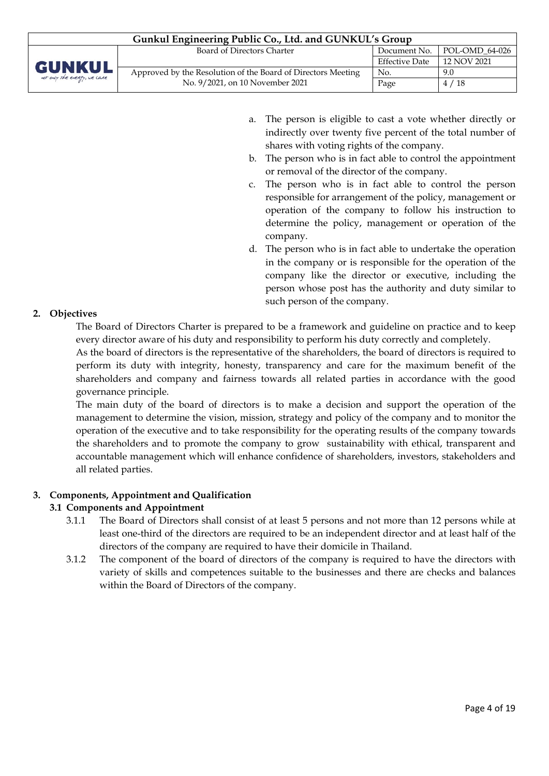| Gunkul Engineering Public Co., Ltd. and GUNKUL's Group |                                                              |                       |                               |  |
|--------------------------------------------------------|--------------------------------------------------------------|-----------------------|-------------------------------|--|
|                                                        | Board of Directors Charter                                   |                       | Document No.   POL-OMD 64-026 |  |
|                                                        |                                                              | <b>Effective Date</b> | 12 NOV 2021                   |  |
| <b>GUNKUL</b><br>not only the every, we care           | Approved by the Resolution of the Board of Directors Meeting | No.                   | 9.0                           |  |
|                                                        | No. 9/2021, on 10 November 2021                              | Page                  | 4/18                          |  |

- a. The person is eligible to cast a vote whether directly or indirectly over twenty five percent of the total number of shares with voting rights of the company.
- b. The person who is in fact able to control the appointment or removal of the director of the company.
- c. The person who is in fact able to control the person responsible for arrangement of the policy, management or operation of the company to follow his instruction to determine the policy, management or operation of the company.
- d. The person who is in fact able to undertake the operation in the company or is responsible for the operation of the company like the director or executive, including the person whose post has the authority and duty similar to such person of the company.

# **2. Objectives**

The Board of Directors Charter is prepared to be a framework and guideline on practice and to keep every director aware of his duty and responsibility to perform his duty correctly and completely.

As the board of directors is the representative of the shareholders, the board of directors is required to perform its duty with integrity, honesty, transparency and care for the maximum benefit of the shareholders and company and fairness towards all related parties in accordance with the good governance principle.

The main duty of the board of directors is to make a decision and support the operation of the management to determine the vision, mission, strategy and policy of the company and to monitor the operation of the executive and to take responsibility for the operating results of the company towards the shareholders and to promote the company to grow sustainability with ethical, transparent and accountable management which will enhance confidence of shareholders, investors, stakeholders and all related parties.

## **3. Components, Appointment and Qualification**

## **3.1 Components and Appointment**

- 3.1.1 The Board of Directors shall consist of at least 5 persons and not more than 12 persons while at least one-third of the directors are required to be an independent director and at least half of the directors of the company are required to have their domicile in Thailand.
- 3.1.2 The component of the board of directors of the company is required to have the directors with variety of skills and competences suitable to the businesses and there are checks and balances within the Board of Directors of the company.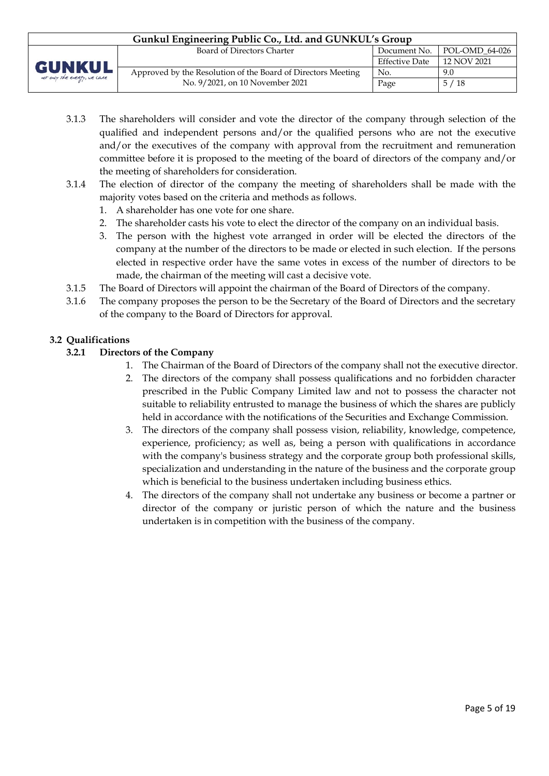| Gunkul Engineering Public Co., Ltd. and GUNKUL's Group |                                                              |                       |                               |  |
|--------------------------------------------------------|--------------------------------------------------------------|-----------------------|-------------------------------|--|
|                                                        | Board of Directors Charter                                   |                       | Document No.   POL-OMD 64-026 |  |
| <b>GUNKUL</b>                                          |                                                              | <b>Effective Date</b> | 12 NOV 2021                   |  |
| not only the every, we care                            | Approved by the Resolution of the Board of Directors Meeting | No.                   | 9.0                           |  |
|                                                        | No. 9/2021, on 10 November 2021                              | Page                  | 5/18                          |  |

- 3.1.3 The shareholders will consider and vote the director of the company through selection of the qualified and independent persons and/or the qualified persons who are not the executive and/or the executives of the company with approval from the recruitment and remuneration committee before it is proposed to the meeting of the board of directors of the company and/or the meeting of shareholders for consideration.
- 3.1.4 The election of director of the company the meeting of shareholders shall be made with the majority votes based on the criteria and methods as follows.
	- 1. A shareholder has one vote for one share.
	- 2. The shareholder casts his vote to elect the director of the company on an individual basis.
	- 3. The person with the highest vote arranged in order will be elected the directors of the company at the number of the directors to be made or elected in such election. If the persons elected in respective order have the same votes in excess of the number of directors to be made, the chairman of the meeting will cast a decisive vote.
- 3.1.5 The Board of Directors will appoint the chairman of the Board of Directors of the company.
- 3.1.6 The company proposes the person to be the Secretary of the Board of Directors and the secretary of the company to the Board of Directors for approval.

## **3.2 Qualifications**

#### **3.2.1 Directors of the Company**

- 1. The Chairman of the Board of Directors of the company shall not the executive director.
- 2. The directors of the company shall possess qualifications and no forbidden character prescribed in the Public Company Limited law and not to possess the character not suitable to reliability entrusted to manage the business of which the shares are publicly held in accordance with the notifications of the Securities and Exchange Commission.
- 3. The directors of the company shall possess vision, reliability, knowledge, competence, experience, proficiency; as well as, being a person with qualifications in accordance with the company's business strategy and the corporate group both professional skills, specialization and understanding in the nature of the business and the corporate group which is beneficial to the business undertaken including business ethics.
- 4. The directors of the company shall not undertake any business or become a partner or director of the company or juristic person of which the nature and the business undertaken is in competition with the business of the company.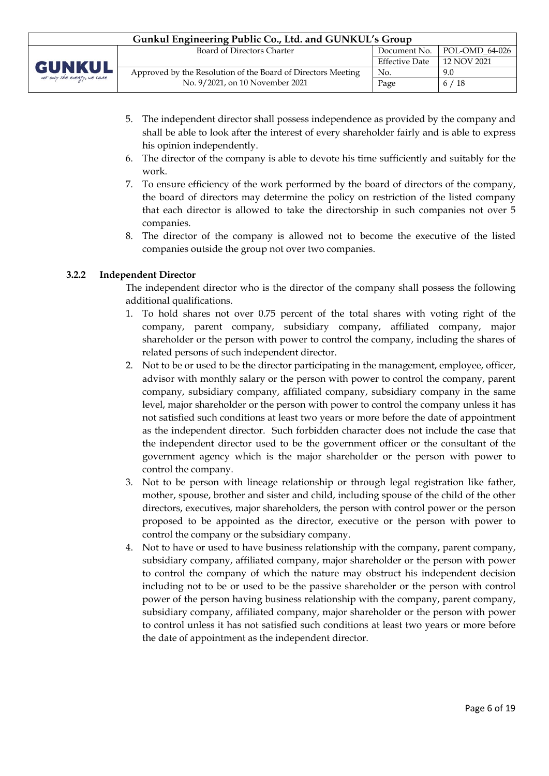| Gunkul Engineering Public Co., Ltd. and GUNKUL's Group |                                                              |                       |                               |  |
|--------------------------------------------------------|--------------------------------------------------------------|-----------------------|-------------------------------|--|
|                                                        | Board of Directors Charter                                   |                       | Document No.   POL-OMD 64-026 |  |
| <b>GUNKUL</b><br>not only the energy, we care          |                                                              | <b>Effective Date</b> | 12 NOV 2021                   |  |
|                                                        | Approved by the Resolution of the Board of Directors Meeting | No.                   | 9.0                           |  |
|                                                        | No. 9/2021, on 10 November 2021                              | Page                  | 6/18                          |  |

- 5. The independent director shall possess independence as provided by the company and shall be able to look after the interest of every shareholder fairly and is able to express his opinion independently.
- 6. The director of the company is able to devote his time sufficiently and suitably for the work.
- 7. To ensure efficiency of the work performed by the board of directors of the company, the board of directors may determine the policy on restriction of the listed company that each director is allowed to take the directorship in such companies not over 5 companies.
- 8. The director of the company is allowed not to become the executive of the listed companies outside the group not over two companies.

## **3.2.2 Independent Director**

The independent director who is the director of the company shall possess the following additional qualifications.

- 1. To hold shares not over 0.75 percent of the total shares with voting right of the company, parent company, subsidiary company, affiliated company, major shareholder or the person with power to control the company, including the shares of related persons of such independent director.
- 2. Not to be or used to be the director participating in the management, employee, officer, advisor with monthly salary or the person with power to control the company, parent company, subsidiary company, affiliated company, subsidiary company in the same level, major shareholder or the person with power to control the company unless it has not satisfied such conditions at least two years or more before the date of appointment as the independent director. Such forbidden character does not include the case that the independent director used to be the government officer or the consultant of the government agency which is the major shareholder or the person with power to control the company.
- 3. Not to be person with lineage relationship or through legal registration like father, mother, spouse, brother and sister and child, including spouse of the child of the other directors, executives, major shareholders, the person with control power or the person proposed to be appointed as the director, executive or the person with power to control the company or the subsidiary company.
- 4. Not to have or used to have business relationship with the company, parent company, subsidiary company, affiliated company, major shareholder or the person with power to control the company of which the nature may obstruct his independent decision including not to be or used to be the passive shareholder or the person with control power of the person having business relationship with the company, parent company, subsidiary company, affiliated company, major shareholder or the person with power to control unless it has not satisfied such conditions at least two years or more before the date of appointment as the independent director.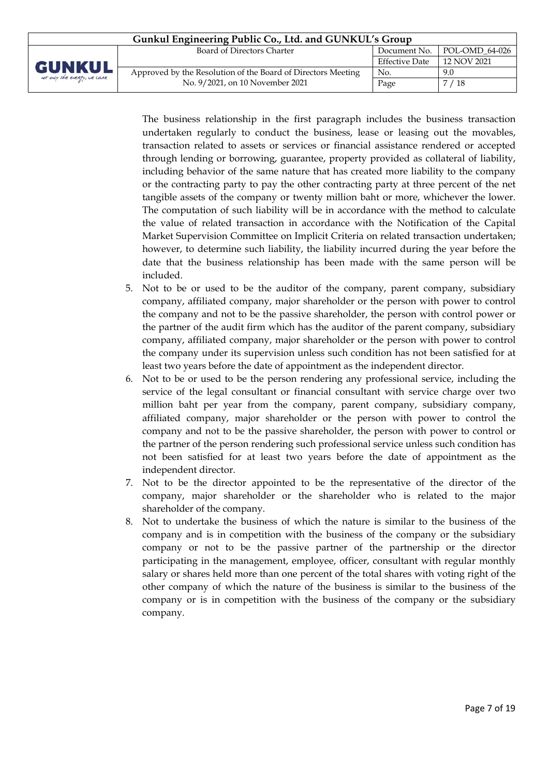| Gunkul Engineering Public Co., Ltd. and GUNKUL's Group |                                                              |                       |                |  |
|--------------------------------------------------------|--------------------------------------------------------------|-----------------------|----------------|--|
|                                                        | Board of Directors Charter                                   | Document No.          | POL-OMD_64-026 |  |
| <b>GUNKUL</b>                                          |                                                              | <b>Effective Date</b> | 12 NOV 2021    |  |
|                                                        | Approved by the Resolution of the Board of Directors Meeting | No.                   | 9.0            |  |
| not only the every, we care                            | No. 9/2021, on 10 November 2021                              | Page                  | /18            |  |

The business relationship in the first paragraph includes the business transaction undertaken regularly to conduct the business, lease or leasing out the movables, transaction related to assets or services or financial assistance rendered or accepted through lending or borrowing, guarantee, property provided as collateral of liability, including behavior of the same nature that has created more liability to the company or the contracting party to pay the other contracting party at three percent of the net tangible assets of the company or twenty million baht or more, whichever the lower. The computation of such liability will be in accordance with the method to calculate the value of related transaction in accordance with the Notification of the Capital Market Supervision Committee on Implicit Criteria on related transaction undertaken; however, to determine such liability, the liability incurred during the year before the date that the business relationship has been made with the same person will be included.

- 5. Not to be or used to be the auditor of the company, parent company, subsidiary company, affiliated company, major shareholder or the person with power to control the company and not to be the passive shareholder, the person with control power or the partner of the audit firm which has the auditor of the parent company, subsidiary company, affiliated company, major shareholder or the person with power to control the company under its supervision unless such condition has not been satisfied for at least two years before the date of appointment as the independent director.
- 6. Not to be or used to be the person rendering any professional service, including the service of the legal consultant or financial consultant with service charge over two million baht per year from the company, parent company, subsidiary company, affiliated company, major shareholder or the person with power to control the company and not to be the passive shareholder, the person with power to control or the partner of the person rendering such professional service unless such condition has not been satisfied for at least two years before the date of appointment as the independent director.
- 7. Not to be the director appointed to be the representative of the director of the company, major shareholder or the shareholder who is related to the major shareholder of the company.
- 8. Not to undertake the business of which the nature is similar to the business of the company and is in competition with the business of the company or the subsidiary company or not to be the passive partner of the partnership or the director participating in the management, employee, officer, consultant with regular monthly salary or shares held more than one percent of the total shares with voting right of the other company of which the nature of the business is similar to the business of the company or is in competition with the business of the company or the subsidiary company.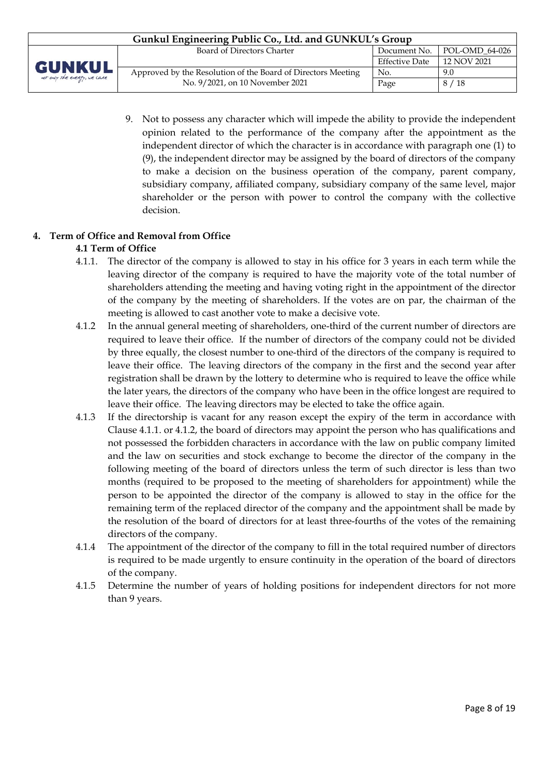| Gunkul Engineering Public Co., Ltd. and GUNKUL's Group |                                                              |                       |                               |  |
|--------------------------------------------------------|--------------------------------------------------------------|-----------------------|-------------------------------|--|
|                                                        | Board of Directors Charter                                   |                       | Document No.   POL-OMD 64-026 |  |
| <b>GUNKUL</b>                                          |                                                              | <b>Effective Date</b> | 12 NOV 2021                   |  |
|                                                        | Approved by the Resolution of the Board of Directors Meeting | No.                   | 9.0                           |  |
| not only the energy, we care                           | No. 9/2021, on 10 November 2021                              | Page                  | 8/18                          |  |

9. Not to possess any character which will impede the ability to provide the independent opinion related to the performance of the company after the appointment as the independent director of which the character is in accordance with paragraph one (1) to (9), the independent director may be assigned by the board of directors of the company to make a decision on the business operation of the company, parent company, subsidiary company, affiliated company, subsidiary company of the same level, major shareholder or the person with power to control the company with the collective decision.

# **4. Term of Office and Removal from Office**

## **4.1 Term of Office**

- 4.1.1. The director of the company is allowed to stay in his office for 3 years in each term while the leaving director of the company is required to have the majority vote of the total number of shareholders attending the meeting and having voting right in the appointment of the director of the company by the meeting of shareholders. If the votes are on par, the chairman of the meeting is allowed to cast another vote to make a decisive vote.
- 4.1.2 In the annual general meeting of shareholders, one-third of the current number of directors are required to leave their office. If the number of directors of the company could not be divided by three equally, the closest number to one-third of the directors of the company is required to leave their office. The leaving directors of the company in the first and the second year after registration shall be drawn by the lottery to determine who is required to leave the office while the later years, the directors of the company who have been in the office longest are required to leave their office. The leaving directors may be elected to take the office again.
- 4.1.3 If the directorship is vacant for any reason except the expiry of the term in accordance with Clause 4.1.1. or 4.1.2, the board of directors may appoint the person who has qualifications and not possessed the forbidden characters in accordance with the law on public company limited and the law on securities and stock exchange to become the director of the company in the following meeting of the board of directors unless the term of such director is less than two months (required to be proposed to the meeting of shareholders for appointment) while the person to be appointed the director of the company is allowed to stay in the office for the remaining term of the replaced director of the company and the appointment shall be made by the resolution of the board of directors for at least three-fourths of the votes of the remaining directors of the company.
- 4.1.4 The appointment of the director of the company to fill in the total required number of directors is required to be made urgently to ensure continuity in the operation of the board of directors of the company.
- 4.1.5 Determine the number of years of holding positions for independent directors for not more than 9 years.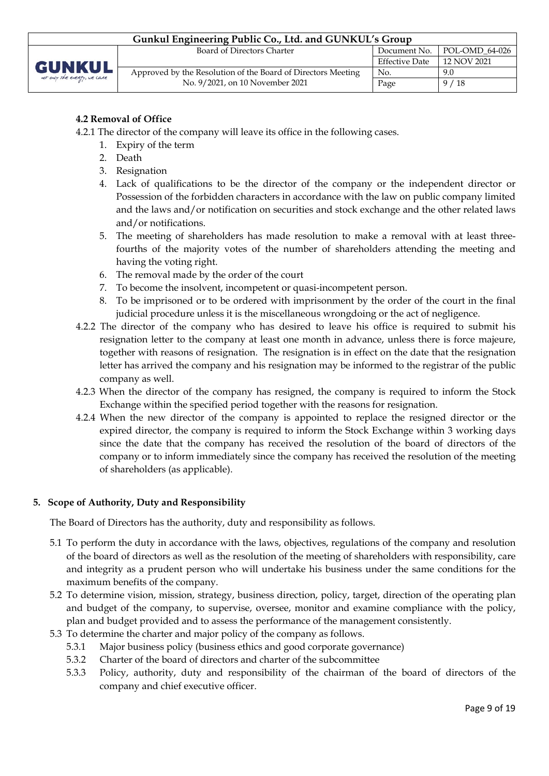| Gunkul Engineering Public Co., Ltd. and GUNKUL's Group |                                                              |                       |                  |  |
|--------------------------------------------------------|--------------------------------------------------------------|-----------------------|------------------|--|
|                                                        | Board of Directors Charter                                   | Document No.          | $POL-OMD_64-026$ |  |
| <b>GUNKUL</b>                                          |                                                              | <b>Effective Date</b> | 12 NOV 2021      |  |
| not only the energy, we care                           | Approved by the Resolution of the Board of Directors Meeting | No.                   | 9.0              |  |
|                                                        | No. 9/2021, on 10 November 2021                              | Page                  | 9/18             |  |

# **4.2 Removal of Office**

- 4.2.1 The director of the company will leave its office in the following cases.
	- 1. Expiry of the term
	- 2. Death
	- 3. Resignation
	- 4. Lack of qualifications to be the director of the company or the independent director or Possession of the forbidden characters in accordance with the law on public company limited and the laws and/or notification on securities and stock exchange and the other related laws and/or notifications.
	- 5. The meeting of shareholders has made resolution to make a removal with at least threefourths of the majority votes of the number of shareholders attending the meeting and having the voting right.
	- 6. The removal made by the order of the court
	- 7. To become the insolvent, incompetent or quasi-incompetent person.
	- 8. To be imprisoned or to be ordered with imprisonment by the order of the court in the final judicial procedure unless it is the miscellaneous wrongdoing or the act of negligence.
- 4.2.2 The director of the company who has desired to leave his office is required to submit his resignation letter to the company at least one month in advance, unless there is force majeure, together with reasons of resignation. The resignation is in effect on the date that the resignation letter has arrived the company and his resignation may be informed to the registrar of the public company as well.
- 4.2.3 When the director of the company has resigned, the company is required to inform the Stock Exchange within the specified period together with the reasons for resignation.
- 4.2.4 When the new director of the company is appointed to replace the resigned director or the expired director, the company is required to inform the Stock Exchange within 3 working days since the date that the company has received the resolution of the board of directors of the company or to inform immediately since the company has received the resolution of the meeting of shareholders (as applicable).

## **5. Scope of Authority, Duty and Responsibility**

The Board of Directors has the authority, duty and responsibility as follows.

- 5.1 To perform the duty in accordance with the laws, objectives, regulations of the company and resolution of the board of directors as well as the resolution of the meeting of shareholders with responsibility, care and integrity as a prudent person who will undertake his business under the same conditions for the maximum benefits of the company.
- 5.2 To determine vision, mission, strategy, business direction, policy, target, direction of the operating plan and budget of the company, to supervise, oversee, monitor and examine compliance with the policy, plan and budget provided and to assess the performance of the management consistently.
- 5.3 To determine the charter and major policy of the company as follows.
	- 5.3.1 Major business policy (business ethics and good corporate governance)
	- 5.3.2 Charter of the board of directors and charter of the subcommittee
	- 5.3.3 Policy, authority, duty and responsibility of the chairman of the board of directors of the company and chief executive officer.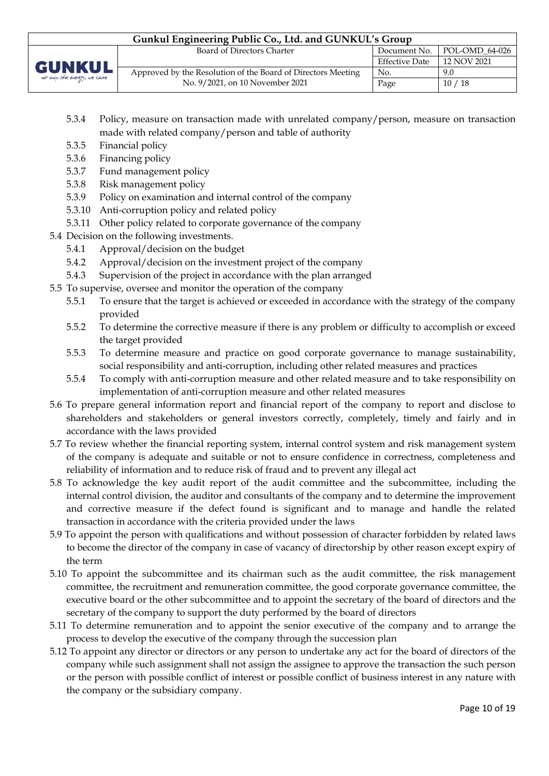| Gunkul Engineering Public Co., Ltd. and GUNKUL's Group |                                                              |                       |                               |  |  |  |
|--------------------------------------------------------|--------------------------------------------------------------|-----------------------|-------------------------------|--|--|--|
|                                                        | Board of Directors Charter                                   |                       | Document No.   POL-OMD 64-026 |  |  |  |
| <b>GUNKUL</b>                                          |                                                              | <b>Effective Date</b> | 12 NOV 2021                   |  |  |  |
|                                                        | Approved by the Resolution of the Board of Directors Meeting | No.                   | 9.0                           |  |  |  |
| not only the every, we care                            | No. 9/2021, on 10 November 2021                              | Page                  | 10/18                         |  |  |  |

- 5.3.4 Policy, measure on transaction made with unrelated company/person, measure on transaction made with related company/person and table of authority
- 5.3.5 Financial policy
- 5.3.6 Financing policy
- 5.3.7 Fund management policy
- 5.3.8 Risk management policy
- 5.3.9 Policy on examination and internal control of the company
- 5.3.10 Anti-corruption policy and related policy
- 5.3.11 Other policy related to corporate governance of the company
- 5.4 Decision on the following investments.
	- 5.4.1 Approval/decision on the budget
	- 5.4.2 Approval/decision on the investment project of the company
	- 5.4.3 Supervision of the project in accordance with the plan arranged
- 5.5 To supervise, oversee and monitor the operation of the company
	- 5.5.1 To ensure that the target is achieved or exceeded in accordance with the strategy of the company provided
	- 5.5.2 To determine the corrective measure if there is any problem or difficulty to accomplish or exceed the target provided
	- 5.5.3 To determine measure and practice on good corporate governance to manage sustainability, social responsibility and anti-corruption, including other related measures and practices
	- 5.5.4 To comply with anti-corruption measure and other related measure and to take responsibility on implementation of anti-corruption measure and other related measures
- 5.6 To prepare general information report and financial report of the company to report and disclose to shareholders and stakeholders or general investors correctly, completely, timely and fairly and in accordance with the laws provided
- 5.7 To review whether the financial reporting system, internal control system and risk management system of the company is adequate and suitable or not to ensure confidence in correctness, completeness and reliability of information and to reduce risk of fraud and to prevent any illegal act
- 5.8 To acknowledge the key audit report of the audit committee and the subcommittee, including the internal control division, the auditor and consultants of the company and to determine the improvement and corrective measure if the defect found is significant and to manage and handle the related transaction in accordance with the criteria provided under the laws
- 5.9 To appoint the person with qualifications and without possession of character forbidden by related laws to become the director of the company in case of vacancy of directorship by other reason except expiry of the term
- 5.10 To appoint the subcommittee and its chairman such as the audit committee, the risk management committee, the recruitment and remuneration committee, the good corporate governance committee, the executive board or the other subcommittee and to appoint the secretary of the board of directors and the secretary of the company to support the duty performed by the board of directors
- 5.11 To determine remuneration and to appoint the senior executive of the company and to arrange the process to develop the executive of the company through the succession plan
- 5.12 To appoint any director or directors or any person to undertake any act for the board of directors of the company while such assignment shall not assign the assignee to approve the transaction the such person or the person with possible conflict of interest or possible conflict of business interest in any nature with the company or the subsidiary company.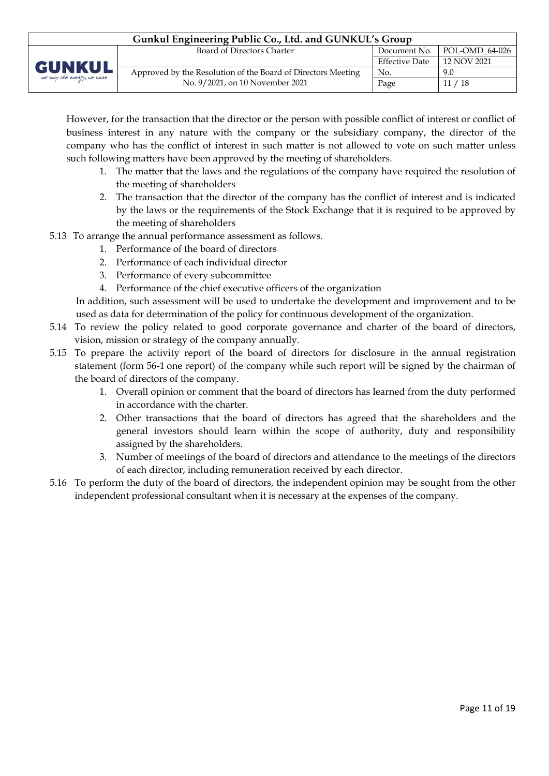| Gunkul Engineering Public Co., Ltd. and GUNKUL's Group |                                                              |                       |                               |  |  |  |
|--------------------------------------------------------|--------------------------------------------------------------|-----------------------|-------------------------------|--|--|--|
|                                                        | Board of Directors Charter                                   |                       | Document No.   POL-OMD_64-026 |  |  |  |
|                                                        |                                                              | <b>Effective Date</b> | 12 NOV 2021                   |  |  |  |
| <b>GUNKUL</b><br>not only the energy, we care          | Approved by the Resolution of the Board of Directors Meeting | No.                   | 9.0                           |  |  |  |
|                                                        | No. 9/2021, on 10 November 2021                              | Page                  | 11/18                         |  |  |  |

However, for the transaction that the director or the person with possible conflict of interest or conflict of business interest in any nature with the company or the subsidiary company, the director of the company who has the conflict of interest in such matter is not allowed to vote on such matter unless such following matters have been approved by the meeting of shareholders.

- 1. The matter that the laws and the regulations of the company have required the resolution of the meeting of shareholders
- 2. The transaction that the director of the company has the conflict of interest and is indicated by the laws or the requirements of the Stock Exchange that it is required to be approved by the meeting of shareholders
- 5.13 To arrange the annual performance assessment as follows.
	- 1. Performance of the board of directors
	- 2. Performance of each individual director
	- 3. Performance of every subcommittee
	- 4. Performance of the chief executive officers of the organization

In addition, such assessment will be used to undertake the development and improvement and to be used as data for determination of the policy for continuous development of the organization.

- 5.14 To review the policy related to good corporate governance and charter of the board of directors, vision, mission or strategy of the company annually.
- 5.15 To prepare the activity report of the board of directors for disclosure in the annual registration statement (form 56-1 one report) of the company while such report will be signed by the chairman of the board of directors of the company.
	- 1. Overall opinion or comment that the board of directors has learned from the duty performed in accordance with the charter.
	- 2. Other transactions that the board of directors has agreed that the shareholders and the general investors should learn within the scope of authority, duty and responsibility assigned by the shareholders.
	- 3. Number of meetings of the board of directors and attendance to the meetings of the directors of each director, including remuneration received by each director.
- 5.16 To perform the duty of the board of directors, the independent opinion may be sought from the other independent professional consultant when it is necessary at the expenses of the company.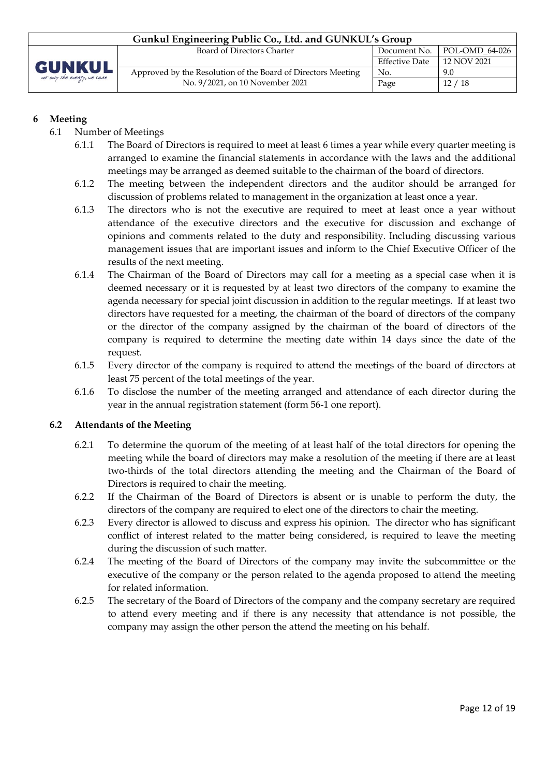| Gunkul Engineering Public Co., Ltd. and GUNKUL's Group |                                                              |                       |                |  |  |  |
|--------------------------------------------------------|--------------------------------------------------------------|-----------------------|----------------|--|--|--|
|                                                        | Board of Directors Charter                                   | Document No.          | POL-OMD_64-026 |  |  |  |
|                                                        |                                                              | <b>Effective Date</b> | 12 NOV 2021    |  |  |  |
| <b>GUNKUL</b><br>not only the energy, we care          | Approved by the Resolution of the Board of Directors Meeting | No.                   | 9.0            |  |  |  |
|                                                        | No. 9/2021, on 10 November 2021                              | Page                  | 12/18          |  |  |  |

# **6 Meeting**

- 6.1 Number of Meetings
	- 6.1.1 The Board of Directors is required to meet at least 6 times a year while every quarter meeting is arranged to examine the financial statements in accordance with the laws and the additional meetings may be arranged as deemed suitable to the chairman of the board of directors.
	- 6.1.2 The meeting between the independent directors and the auditor should be arranged for discussion of problems related to management in the organization at least once a year.
	- 6.1.3 The directors who is not the executive are required to meet at least once a year without attendance of the executive directors and the executive for discussion and exchange of opinions and comments related to the duty and responsibility. Including discussing various management issues that are important issues and inform to the Chief Executive Officer of the results of the next meeting.
	- 6.1.4 The Chairman of the Board of Directors may call for a meeting as a special case when it is deemed necessary or it is requested by at least two directors of the company to examine the agenda necessary for special joint discussion in addition to the regular meetings. If at least two directors have requested for a meeting, the chairman of the board of directors of the company or the director of the company assigned by the chairman of the board of directors of the company is required to determine the meeting date within 14 days since the date of the request.
	- 6.1.5 Every director of the company is required to attend the meetings of the board of directors at least 75 percent of the total meetings of the year.
	- 6.1.6 To disclose the number of the meeting arranged and attendance of each director during the year in the annual registration statement (form 56-1 one report).

## **6.2 Attendants of the Meeting**

- 6.2.1 To determine the quorum of the meeting of at least half of the total directors for opening the meeting while the board of directors may make a resolution of the meeting if there are at least two-thirds of the total directors attending the meeting and the Chairman of the Board of Directors is required to chair the meeting.
- 6.2.2 If the Chairman of the Board of Directors is absent or is unable to perform the duty, the directors of the company are required to elect one of the directors to chair the meeting.
- 6.2.3 Every director is allowed to discuss and express his opinion. The director who has significant conflict of interest related to the matter being considered, is required to leave the meeting during the discussion of such matter.
- 6.2.4 The meeting of the Board of Directors of the company may invite the subcommittee or the executive of the company or the person related to the agenda proposed to attend the meeting for related information.
- 6.2.5 The secretary of the Board of Directors of the company and the company secretary are required to attend every meeting and if there is any necessity that attendance is not possible, the company may assign the other person the attend the meeting on his behalf.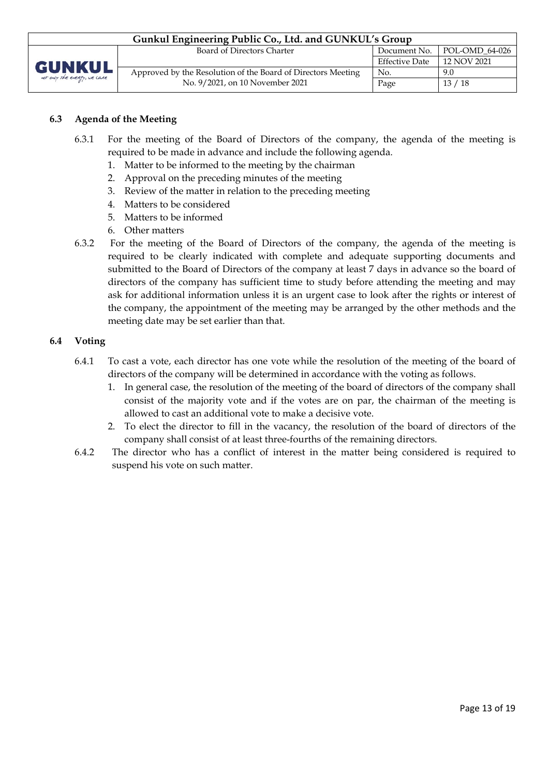| Gunkul Engineering Public Co., Ltd. and GUNKUL's Group |                                                              |                       |                               |  |  |  |
|--------------------------------------------------------|--------------------------------------------------------------|-----------------------|-------------------------------|--|--|--|
|                                                        | Board of Directors Charter                                   |                       | Document No.   POL-OMD 64-026 |  |  |  |
| GUNKUL                                                 |                                                              | <b>Effective Date</b> | 12 NOV 2021                   |  |  |  |
|                                                        | Approved by the Resolution of the Board of Directors Meeting | No.                   | 9.0                           |  |  |  |
| not only the every, we care                            | No. 9/2021, on 10 November 2021                              | Page                  | 13/18                         |  |  |  |

#### **6.3 Agenda of the Meeting**

- 6.3.1 For the meeting of the Board of Directors of the company, the agenda of the meeting is required to be made in advance and include the following agenda.
	- 1. Matter to be informed to the meeting by the chairman
	- 2. Approval on the preceding minutes of the meeting
	- 3. Review of the matter in relation to the preceding meeting
	- 4. Matters to be considered
	- 5. Matters to be informed
	- 6. Other matters
- 6.3.2 For the meeting of the Board of Directors of the company, the agenda of the meeting is required to be clearly indicated with complete and adequate supporting documents and submitted to the Board of Directors of the company at least 7 days in advance so the board of directors of the company has sufficient time to study before attending the meeting and may ask for additional information unless it is an urgent case to look after the rights or interest of the company, the appointment of the meeting may be arranged by the other methods and the meeting date may be set earlier than that.

#### **6.4 Voting**

- 6.4.1 To cast a vote, each director has one vote while the resolution of the meeting of the board of directors of the company will be determined in accordance with the voting as follows.
	- 1. In general case, the resolution of the meeting of the board of directors of the company shall consist of the majority vote and if the votes are on par, the chairman of the meeting is allowed to cast an additional vote to make a decisive vote.
	- 2. To elect the director to fill in the vacancy, the resolution of the board of directors of the company shall consist of at least three-fourths of the remaining directors.
- 6.4.2 The director who has a conflict of interest in the matter being considered is required to suspend his vote on such matter.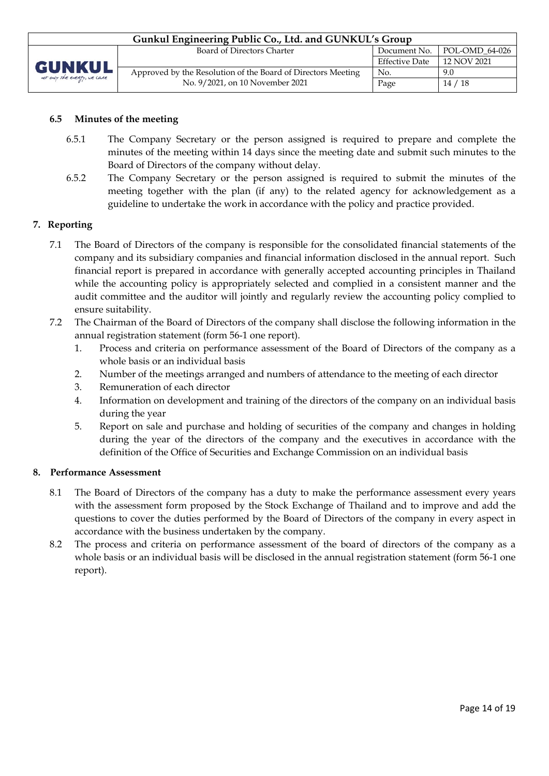

#### **6.5 Minutes of the meeting**

- 6.5.1 The Company Secretary or the person assigned is required to prepare and complete the minutes of the meeting within 14 days since the meeting date and submit such minutes to the Board of Directors of the company without delay.
- 6.5.2 The Company Secretary or the person assigned is required to submit the minutes of the meeting together with the plan (if any) to the related agency for acknowledgement as a guideline to undertake the work in accordance with the policy and practice provided.

#### **7. Reporting**

- 7.1 The Board of Directors of the company is responsible for the consolidated financial statements of the company and its subsidiary companies and financial information disclosed in the annual report. Such financial report is prepared in accordance with generally accepted accounting principles in Thailand while the accounting policy is appropriately selected and complied in a consistent manner and the audit committee and the auditor will jointly and regularly review the accounting policy complied to ensure suitability.
- 7.2 The Chairman of the Board of Directors of the company shall disclose the following information in the annual registration statement (form 56-1 one report).
	- 1. Process and criteria on performance assessment of the Board of Directors of the company as a whole basis or an individual basis
	- 2. Number of the meetings arranged and numbers of attendance to the meeting of each director
	- 3. Remuneration of each director
	- 4. Information on development and training of the directors of the company on an individual basis during the year
	- 5. Report on sale and purchase and holding of securities of the company and changes in holding during the year of the directors of the company and the executives in accordance with the definition of the Office of Securities and Exchange Commission on an individual basis

#### **8. Performance Assessment**

- 8.1 The Board of Directors of the company has a duty to make the performance assessment every years with the assessment form proposed by the Stock Exchange of Thailand and to improve and add the questions to cover the duties performed by the Board of Directors of the company in every aspect in accordance with the business undertaken by the company.
- 8.2 The process and criteria on performance assessment of the board of directors of the company as a whole basis or an individual basis will be disclosed in the annual registration statement (form 56-1 one report).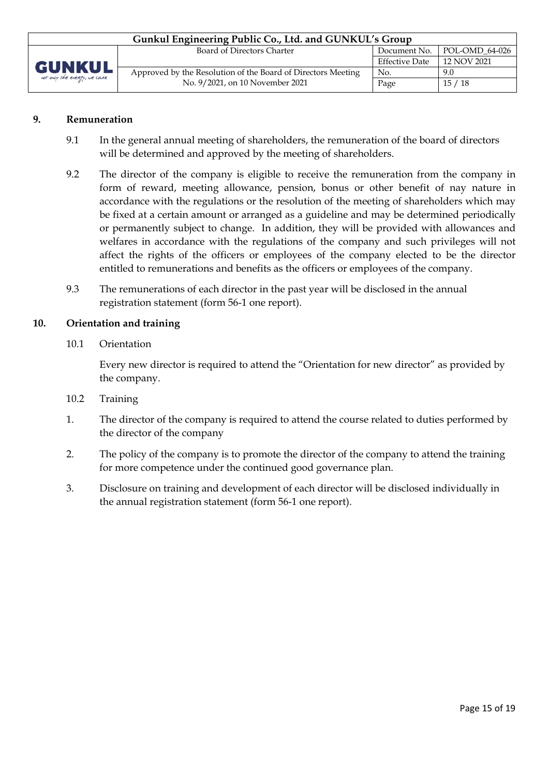| Gunkul Engineering Public Co., Ltd. and GUNKUL's Group |                                                              |                       |                |  |  |  |
|--------------------------------------------------------|--------------------------------------------------------------|-----------------------|----------------|--|--|--|
|                                                        | Board of Directors Charter                                   | Document No.          | POL-OMD_64-026 |  |  |  |
| GUNKUL<br>not only the energy, we care                 |                                                              | <b>Effective Date</b> | 12 NOV 2021    |  |  |  |
|                                                        | Approved by the Resolution of the Board of Directors Meeting | No.                   | 9.0            |  |  |  |
|                                                        | No. 9/2021, on 10 November 2021                              | Page                  | 15 / 18        |  |  |  |

#### **9. Remuneration**

- 9.1 In the general annual meeting of shareholders, the remuneration of the board of directors will be determined and approved by the meeting of shareholders.
- 9.2 The director of the company is eligible to receive the remuneration from the company in form of reward, meeting allowance, pension, bonus or other benefit of nay nature in accordance with the regulations or the resolution of the meeting of shareholders which may be fixed at a certain amount or arranged as a guideline and may be determined periodically or permanently subject to change. In addition, they will be provided with allowances and welfares in accordance with the regulations of the company and such privileges will not affect the rights of the officers or employees of the company elected to be the director entitled to remunerations and benefits as the officers or employees of the company.
- 9.3 The remunerations of each director in the past year will be disclosed in the annual registration statement (form 56-1 one report).

#### **10. Orientation and training**

10.1 Orientation

Every new director is required to attend the "Orientation for new director" as provided by the company.

- 10.2 Training
- 1. The director of the company is required to attend the course related to duties performed by the director of the company
- 2. The policy of the company is to promote the director of the company to attend the training for more competence under the continued good governance plan.
- 3. Disclosure on training and development of each director will be disclosed individually in the annual registration statement (form 56-1 one report).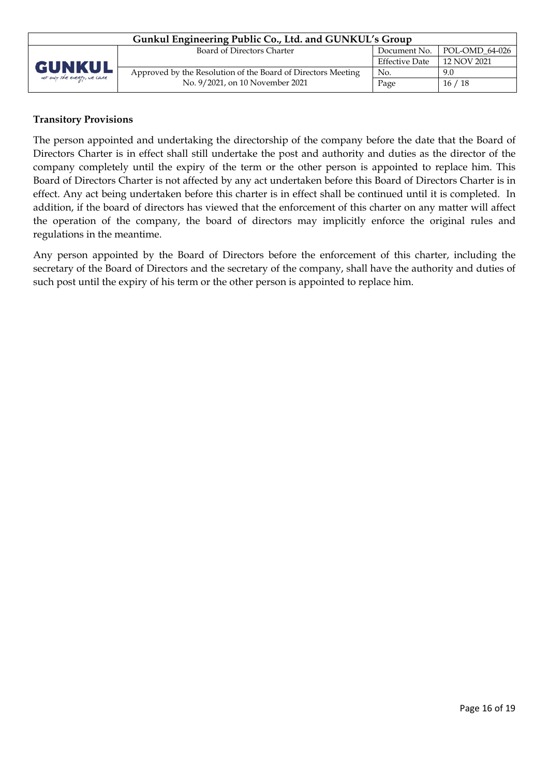| Gunkul Engineering Public Co., Ltd. and GUNKUL's Group |                                                              |                       |                |  |  |  |
|--------------------------------------------------------|--------------------------------------------------------------|-----------------------|----------------|--|--|--|
|                                                        | Board of Directors Charter                                   | Document No.          | POL-OMD 64-026 |  |  |  |
| <b>GUNKUL</b>                                          |                                                              | <b>Effective Date</b> | 12 NOV 2021    |  |  |  |
|                                                        | Approved by the Resolution of the Board of Directors Meeting | No.                   | 9.0            |  |  |  |
| not only the energy, we care                           | No. 9/2021, on 10 November 2021                              | Page                  | 16/18          |  |  |  |

# **Transitory Provisions**

The person appointed and undertaking the directorship of the company before the date that the Board of Directors Charter is in effect shall still undertake the post and authority and duties as the director of the company completely until the expiry of the term or the other person is appointed to replace him. This Board of Directors Charter is not affected by any act undertaken before this Board of Directors Charter is in effect. Any act being undertaken before this charter is in effect shall be continued until it is completed. In addition, if the board of directors has viewed that the enforcement of this charter on any matter will affect the operation of the company, the board of directors may implicitly enforce the original rules and regulations in the meantime.

Any person appointed by the Board of Directors before the enforcement of this charter, including the secretary of the Board of Directors and the secretary of the company, shall have the authority and duties of such post until the expiry of his term or the other person is appointed to replace him.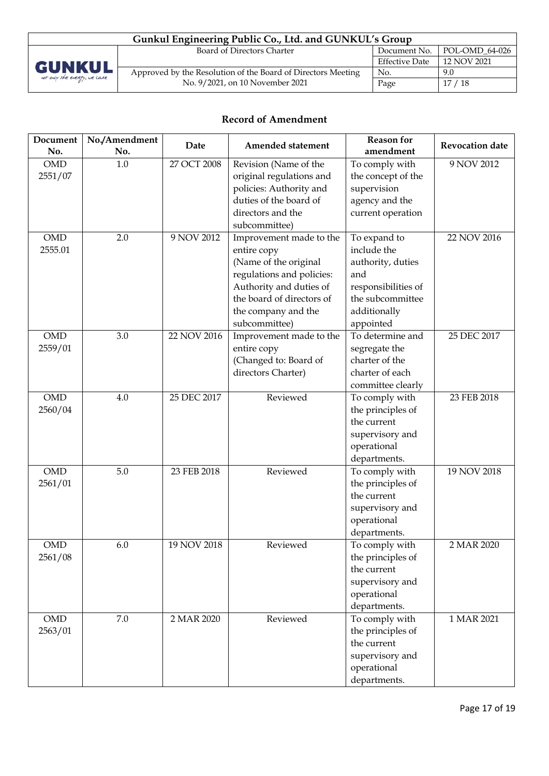

| Gunkul Engineering Public Co., Ltd. and GUNKUL's Group       |                       |                               |  |  |  |  |
|--------------------------------------------------------------|-----------------------|-------------------------------|--|--|--|--|
| Board of Directors Charter                                   |                       | Document No.   POL-OMD_64-026 |  |  |  |  |
|                                                              | <b>Effective Date</b> | 12 NOV 2021                   |  |  |  |  |
| Approved by the Resolution of the Board of Directors Meeting | No.                   | 9.0                           |  |  |  |  |
| No. 9/2021, on 10 November 2021                              | Page                  | 17/18                         |  |  |  |  |

# **Record of Amendment**

| Document   | No./Amendment | Date        | Amended statement         | <b>Reason</b> for   | Revocation date |
|------------|---------------|-------------|---------------------------|---------------------|-----------------|
| No.        | No.           |             |                           | amendment           |                 |
| <b>OMD</b> | $1.0\,$       | 27 OCT 2008 | Revision (Name of the     | To comply with      | 9 NOV 2012      |
| 2551/07    |               |             | original regulations and  | the concept of the  |                 |
|            |               |             | policies: Authority and   | supervision         |                 |
|            |               |             | duties of the board of    | agency and the      |                 |
|            |               |             | directors and the         | current operation   |                 |
|            |               |             | subcommittee)             |                     |                 |
| <b>OMD</b> | 2.0           | 9 NOV 2012  | Improvement made to the   | To expand to        | 22 NOV 2016     |
| 2555.01    |               |             | entire copy               | include the         |                 |
|            |               |             | (Name of the original     | authority, duties   |                 |
|            |               |             | regulations and policies: | and                 |                 |
|            |               |             | Authority and duties of   | responsibilities of |                 |
|            |               |             | the board of directors of | the subcommittee    |                 |
|            |               |             | the company and the       | additionally        |                 |
|            |               |             | subcommittee)             | appointed           |                 |
| <b>OMD</b> | 3.0           | 22 NOV 2016 | Improvement made to the   | To determine and    | 25 DEC 2017     |
| 2559/01    |               |             | entire copy               | segregate the       |                 |
|            |               |             | (Changed to: Board of     | charter of the      |                 |
|            |               |             | directors Charter)        | charter of each     |                 |
|            |               |             |                           | committee clearly   |                 |
| <b>OMD</b> | 4.0           | 25 DEC 2017 | Reviewed                  | To comply with      | 23 FEB 2018     |
| 2560/04    |               |             |                           | the principles of   |                 |
|            |               |             |                           | the current         |                 |
|            |               |             |                           | supervisory and     |                 |
|            |               |             |                           | operational         |                 |
|            |               |             |                           | departments.        |                 |
| <b>OMD</b> | 5.0           | 23 FEB 2018 | Reviewed                  | To comply with      | 19 NOV 2018     |
| 2561/01    |               |             |                           | the principles of   |                 |
|            |               |             |                           | the current         |                 |
|            |               |             |                           | supervisory and     |                 |
|            |               |             |                           | operational         |                 |
|            |               |             |                           | departments.        |                 |
| <b>OMD</b> | 6.0           | 19 NOV 2018 | Reviewed                  | To comply with      | 2 MAR 2020      |
| 2561/08    |               |             |                           | the principles of   |                 |
|            |               |             |                           | the current         |                 |
|            |               |             |                           | supervisory and     |                 |
|            |               |             |                           | operational         |                 |
|            |               |             |                           | departments.        |                 |
| <b>OMD</b> | 7.0           | 2 MAR 2020  | Reviewed                  | To comply with      | 1 MAR 2021      |
| 2563/01    |               |             |                           | the principles of   |                 |
|            |               |             |                           | the current         |                 |
|            |               |             |                           | supervisory and     |                 |
|            |               |             |                           | operational         |                 |
|            |               |             |                           | departments.        |                 |